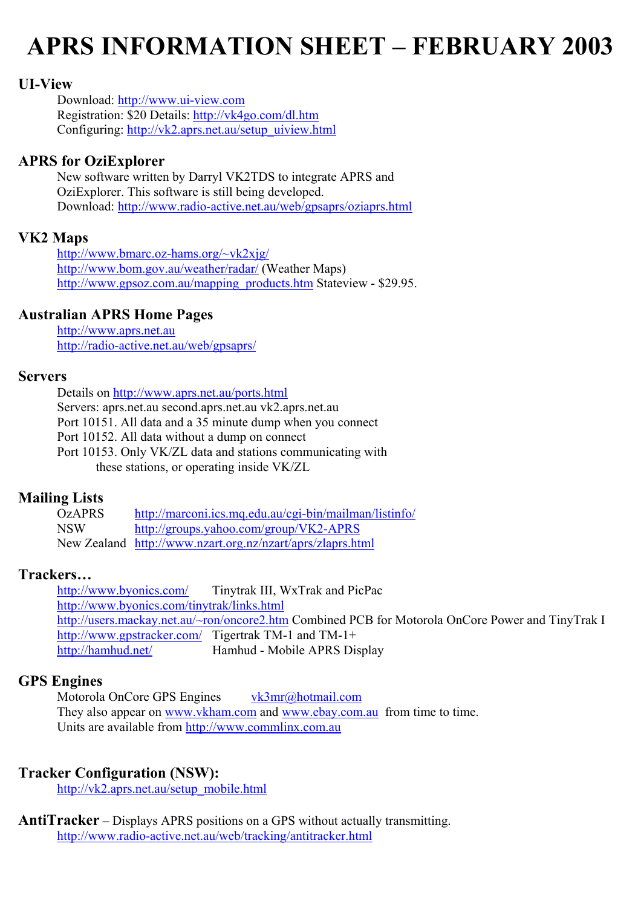# **APRS INFORMATION SHEET – FEBRUARY 2003**

### **UI-View**

Download: [http://www.ui-view.com](http://www.ui-view.com/) Registration: \$20 Details:<http://vk4go.com/dl.htm> Configuring: [http://vk2.aprs.net.au/setup\\_uiview.html](http://vk2.aprs.net.au/setup_uiview.html)

### **APRS for OziExplorer**

 New software written by Darryl VK2TDS to integrate APRS and OziExplorer. This software is still being developed. Download:<http://www.radio-active.net.au/web/gpsaprs/oziaprs.html>

### **VK2 Maps**

<http://www.bmarc.oz-hams.org/~vk2xjg/> <http://www.bom.gov.au/weather/radar/> (Weather Maps) [http://www.gpsoz.com.au/mapping\\_products.htm](http://www.gpsoz.com.au/mapping_products.htm) Stateview - \$29.95.

### **Australian APRS Home Pages**

[http://www.aprs.net.au](http://www.aprs.net.au/)  <http://radio-active.net.au/web/gpsaprs/>

#### **Servers**

 Details on<http://www.aprs.net.au/ports.html> Servers: aprs.net.au second.aprs.net.au vk2.aprs.net.au Port 10151. All data and a 35 minute dump when you connect Port 10152. All data without a dump on connect Port 10153. Only VK/ZL data and stations communicating with these stations, or operating inside VK/ZL

## **Mailing Lists**<br>OzAPRS

http://marconi.ics.mq.edu.au/cgi-bin/mailman/listinfo/ NSW <http://groups.yahoo.com/group/VK2-APRS> New Zealand <http://www.nzart.org.nz/nzart/aprs/zlaprs.html>

### **Trackers…**

<http://www.byonics.com/>Tinytrak III, WxTrak and PicPac <http://www.byonics.com/tinytrak/links.html> <http://users.mackay.net.au/~ron/oncore2.htm> Combined PCB for Motorola OnCore Power and TinyTrak I <http://www.gpstracker.com/>Tigertrak TM-1 and TM-1+ <http://hamhud.net/> Hamhud - Mobile APRS Display

### **GPS Engines**

Motorola OnCore GPS Engines [vk3mr@hotmail.com](mailto:vk3mr@hotmail.com) They also appear on [www.vkham.com](http://www.vkham.com/) and [www.ebay.com.au](http://www.ebay.com.au/) from time to time. Units are available from http://[www.commlinx.com.au](http://www.commlinx.com.au/)

### **Tracker Configuration (NSW):**

[http://vk2.aprs.net.au/setup\\_mobile.html](http://vk2.aprs.net.au/setup_mobile.html)

**AntiTracker** – Displays APRS positions on a GPS without actually transmitting. <http://www.radio-active.net.au/web/tracking/antitracker.html>